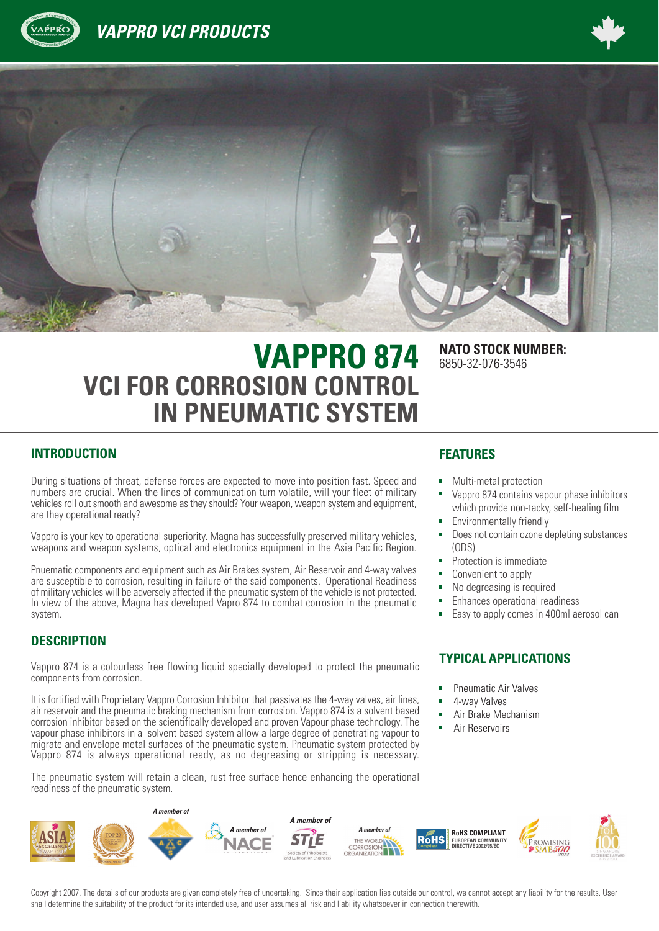





# **VAPPRO 874** NATO STOCK NUMBER: **VCI FOR CORROSION CONTROL IN PNEUMATIC SYSTEM**

#### **INTRODUCTION**

<sup>A</sup><sup>n</sup><sup>d</sup> <sup>E</sup>nvironmenta<sup>l</sup> <sup>P</sup>rotectio<sup>n</sup>

During situations of threat, defense forces are expected to move into position fast. Speed and numbers are crucial. When the lines of communication turn volatile, will your fleet of military vehicles roll out smooth and awesome as they should? Your weapon, weapon system and equipment, are they operational ready?

Vappro is your key to operational superiority. Magna has successfully preserved military vehicles, weapons and weapon systems, optical and electronics equipment in the Asia Pacific Region.

Pnuematic components and equipment such as Air Brakes system, Air Reservoir and 4-way valves are susceptible to corrosion, resulting in failure of the said components. Operational Readiness of military vehicles will be adversely affected if the pneumatic system of the vehicle is not protected. In view of the above, Magna has developed Vapro 874 to combat corrosion in the pneumatic system.

#### **DESCRIPTION**

Vappro 874 is a colourless free flowing liquid specially developed to protect the pneumatic components from corrosion.

It is fortified with Proprietary Vappro Corrosion Inhibitor that passivates the 4-way valves, air lines, air reservoir and the pneumatic braking mechanism from corrosion. Vappro 874 is a solvent based corrosion inhibitor based on the scientifically developed and proven Vapour phase technology. The vapour phase inhibitors in a solvent based system allow a large degree of penetrating vapour to migrate and envelope metal surfaces of the pneumatic system. Pneumatic system protected by Vappro 874 is always operational ready, as no degreasing or stripping is necessary.

The pneumatic system will retain a clean, rust free surface hence enhancing the operational readiness of the pneumatic system.

#### **FEATURES**

Multi-metal protection

6850-32-076-3546

- Vappro 874 contains vapour phase inhibitors which provide non-tacky, self-healing film
- Environmentally friendly
- Does not contain ozone depleting substances (ODS)
- Protection is immediate
- Convenient to apply
- No degreasing is required
- Enhances operational readiness
- Easy to apply comes in 400ml aerosol can

#### **TYPICAL APPLICATIONS**

- Pneumatic Air Valves
- 4-way Valves
- Air Brake Mechanism
- Air Reservoirs



Copyright 2007. The details of our products are given completely free of undertaking. Since their application lies outside our control, we cannot accept any liability for the results. User shall determine the suitability of the product for its intended use, and user assumes all risk and liability whatsoever in connection therewith.